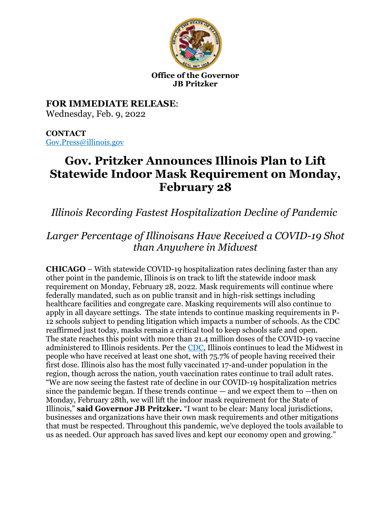

#### **Office of the Governor JB Pritzker**

**FOR IMMEDIATE RELEASE**: Wednesday, Feb. 9, 2022

**CONTACT** [Gov.Press@illinois.gov](mailto:Gov.Press@illinois.gov)

# **Gov. Pritzker Announces Illinois Plan to Lift Statewide Indoor Mask Requirement on Monday, February 28**

*Illinois Recording Fastest Hospitalization Decline of Pandemic*

## *Larger Percentage of Illinoisans Have Received a COVID-19 Shot than Anywhere in Midwest*

**CHICAGO** – With statewide COVID-19 hospitalization rates declining faster than any other point in the pandemic, Illinois is on track to lift the statewide indoor mask requirement on Monday, February 28, 2022. Mask requirements will continue where federally mandated, such as on public transit and in high-risk settings including healthcare facilities and congregate care. Masking requirements will also continue to apply in all daycare settings. The state intends to continue masking requirements in P-12 schools subject to pending litigation which impacts a number of schools. As the CDC reaffirmed just today, masks remain a critical tool to keep schools safe and open. The state reaches this point with more than 21.4 million doses of the COVID-19 vaccine administered to Illinois residents. Per the [CDC,](https://covid.cdc.gov/covid-data-tracker/#vaccinations_vacc-total-admin-rate-total) Illinois continues to lead the Midwest in people who have received at least one shot, with 75.7% of people having received their first dose. Illinois also has the most fully vaccinated 17-and-under population in the region, though across the nation, youth vaccination rates continue to trail adult rates. "We are now seeing the fastest rate of decline in our COVID-19 hospitalization metrics since the pandemic began. If these trends continue  $-$  and we expect them to  $-$ then on Monday, February 28th, we will lift the indoor mask requirement for the State of Illinois," **said Governor JB Pritzker.** "I want to be clear: Many local jurisdictions, businesses and organizations have their own mask requirements and other mitigations that must be respected. Throughout this pandemic, we've deployed the tools available to us as needed. Our approach has saved lives and kept our economy open and growing."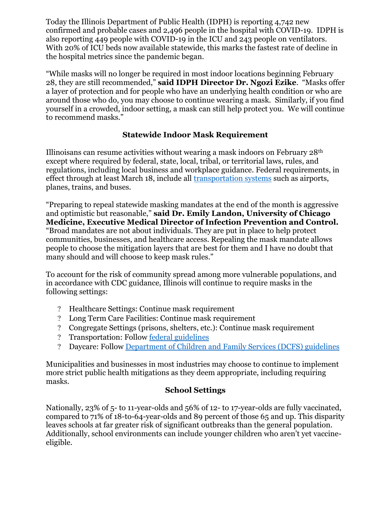Today the Illinois Department of Public Health (IDPH) is reporting 4,742 new confirmed and probable cases and 2,496 people in the hospital with COVID-19. IDPH is also reporting 449 people with COVID-19 in the ICU and 243 people on ventilators. With 20% of ICU beds now available statewide, this marks the fastest rate of decline in the hospital metrics since the pandemic began.

"While masks will no longer be required in most indoor locations beginning February 28, they are still recommended," **said IDPH Director Dr. Ngozi Ezike**. "Masks offer a layer of protection and for people who have an underlying health condition or who are around those who do, you may choose to continue wearing a mask. Similarly, if you find yourself in a crowded, indoor setting, a mask can still help protect you. We will continue to recommend masks."

#### **Statewide Indoor Mask Requirement**

Illinoisans can resume activities without wearing a mask indoors on February 28th except where required by federal, state, local, tribal, or territorial laws, rules, and regulations, including local business and workplace guidance. Federal requirements, in effect through at least March 18, include all [transportation systems](https://www.transit.dot.gov/TransitMaskUp) such as airports, planes, trains, and buses.

"Preparing to repeal statewide masking mandates at the end of the month is aggressive and optimistic but reasonable," **said Dr. Emily Landon, University of Chicago Medicine, Executive Medical Director of Infection Prevention and Control.**  "Broad mandates are not about individuals. They are put in place to help protect communities, businesses, and healthcare access. Repealing the mask mandate allows people to choose the mitigation layers that are best for them and I have no doubt that many should and will choose to keep mask rules."

To account for the risk of community spread among more vulnerable populations, and in accordance with CDC guidance, Illinois will continue to require masks in the following settings:

- Healthcare Settings: Continue mask requirement
- Long Term Care Facilities: Continue mask requirement
- Congregate Settings (prisons, shelters, etc.): Continue mask requirement
- Transportation: Follow [federal guidelines](https://www.cdc.gov/coronavirus/2019-ncov/travelers/face-masks-public-transportation.html)
- Daycare: Follow [Department of Children and Family Services \(DCFS\) guidelines](https://www2.illinois.gov/dcfs/brighterfutures/healthy/Documents/Day_Care_Guidance.pdf)

Municipalities and businesses in most industries may choose to continue to implement more strict public health mitigations as they deem appropriate, including requiring masks.

### **School Settings**

Nationally, 23% of 5- to 11-year-olds and 56% of 12- to 17-year-olds are fully vaccinated, compared to 71% of 18-to-64-year-olds and 89 percent of those 65 and up. This disparity leaves schools at far greater risk of significant outbreaks than the general population. Additionally, school environments can include younger children who aren't yet vaccineeligible.